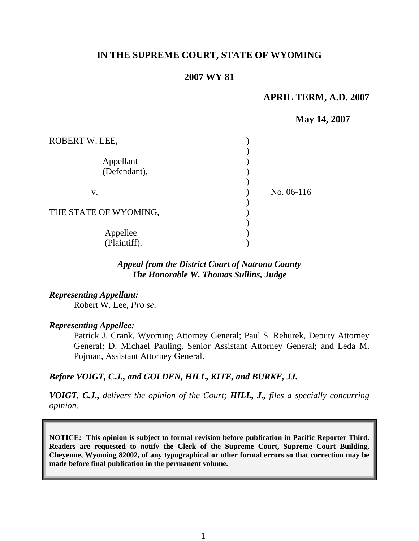# **IN THE SUPREME COURT, STATE OF WYOMING**

### **2007 WY 81**

### **APRIL TERM, A.D. 2007**

|                       | May 14, 2007 |  |
|-----------------------|--------------|--|
| ROBERT W. LEE,        |              |  |
|                       |              |  |
| Appellant             |              |  |
| (Defendant),          |              |  |
|                       |              |  |
| V.                    | No. 06-116   |  |
|                       |              |  |
| THE STATE OF WYOMING, |              |  |
|                       |              |  |
| Appellee              |              |  |
| (Plaintiff).          |              |  |

# *Appeal from the District Court of Natrona County The Honorable W. Thomas Sullins, Judge*

### *Representing Appellant:*

Robert W. Lee, *Pro se*.

#### *Representing Appellee:*

Patrick J. Crank, Wyoming Attorney General; Paul S. Rehurek, Deputy Attorney General; D. Michael Pauling, Senior Assistant Attorney General; and Leda M. Pojman, Assistant Attorney General.

### *Before VOIGT, C.J., and GOLDEN, HILL, KITE, and BURKE, JJ.*

*VOIGT, C.J., delivers the opinion of the Court; HILL, J., files a specially concurring opinion.* 

**NOTICE: This opinion is subject to formal revision before publication in Pacific Reporter Third. Readers are requested to notify the Clerk of the Supreme Court, Supreme Court Building, Cheyenne, Wyoming 82002, of any typographical or other formal errors so that correction may be made before final publication in the permanent volume.**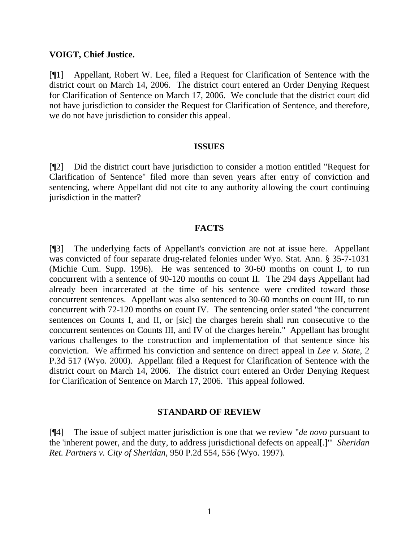### **VOIGT, Chief Justice.**

[¶1] Appellant, Robert W. Lee, filed a Request for Clarification of Sentence with the district court on March 14, 2006. The district court entered an Order Denying Request for Clarification of Sentence on March 17, 2006. We conclude that the district court did not have jurisdiction to consider the Request for Clarification of Sentence, and therefore, we do not have jurisdiction to consider this appeal.

#### **ISSUES**

[¶2] Did the district court have jurisdiction to consider a motion entitled "Request for Clarification of Sentence" filed more than seven years after entry of conviction and sentencing, where Appellant did not cite to any authority allowing the court continuing jurisdiction in the matter?

# **FACTS**

[¶3] The underlying facts of Appellant's conviction are not at issue here. Appellant was convicted of four separate drug-related felonies under Wyo. Stat. Ann. § 35-7-1031 (Michie Cum. Supp. 1996). He was sentenced to 30-60 months on count I, to run concurrent with a sentence of 90-120 months on count II. The 294 days Appellant had already been incarcerated at the time of his sentence were credited toward those concurrent sentences. Appellant was also sentenced to 30-60 months on count III, to run concurrent with 72-120 months on count IV. The sentencing order stated "the concurrent sentences on Counts I, and II, or [sic] the charges herein shall run consecutive to the concurrent sentences on Counts III, and IV of the charges herein." Appellant has brought various challenges to the construction and implementation of that sentence since his conviction. We affirmed his conviction and sentence on direct appeal in *Lee v. State*, 2 P.3d 517 (Wyo. 2000). Appellant filed a Request for Clarification of Sentence with the district court on March 14, 2006. The district court entered an Order Denying Request for Clarification of Sentence on March 17, 2006. This appeal followed.

# **STANDARD OF REVIEW**

[¶4] The issue of subject matter jurisdiction is one that we review "*de novo* pursuant to the 'inherent power, and the duty, to address jurisdictional defects on appeal[.]'" *Sheridan Ret. Partners v. City of Sheridan*, 950 P.2d 554, 556 (Wyo. 1997).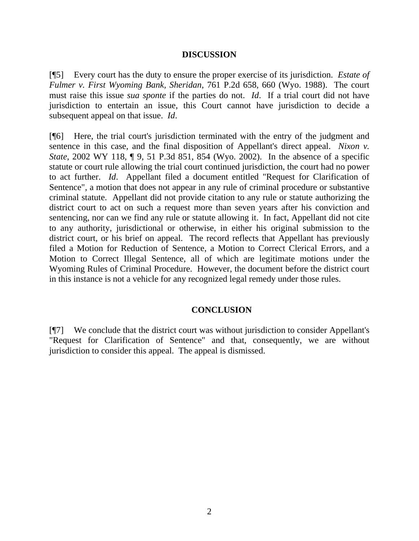### **DISCUSSION**

[¶5] Every court has the duty to ensure the proper exercise of its jurisdiction. *Estate of Fulmer v. First Wyoming Bank, Sheridan*, 761 P.2d 658, 660 (Wyo. 1988). The court must raise this issue *sua sponte* if the parties do not. *Id*. If a trial court did not have jurisdiction to entertain an issue, this Court cannot have jurisdiction to decide a subsequent appeal on that issue. *Id*.

[¶6] Here, the trial court's jurisdiction terminated with the entry of the judgment and sentence in this case, and the final disposition of Appellant's direct appeal. *Nixon v. State*, 2002 WY 118, ¶ 9, 51 P.3d 851, 854 (Wyo. 2002). In the absence of a specific statute or court rule allowing the trial court continued jurisdiction, the court had no power to act further. *Id*. Appellant filed a document entitled "Request for Clarification of Sentence", a motion that does not appear in any rule of criminal procedure or substantive criminal statute. Appellant did not provide citation to any rule or statute authorizing the district court to act on such a request more than seven years after his conviction and sentencing, nor can we find any rule or statute allowing it. In fact, Appellant did not cite to any authority, jurisdictional or otherwise, in either his original submission to the district court, or his brief on appeal. The record reflects that Appellant has previously filed a Motion for Reduction of Sentence, a Motion to Correct Clerical Errors, and a Motion to Correct Illegal Sentence, all of which are legitimate motions under the Wyoming Rules of Criminal Procedure. However, the document before the district court in this instance is not a vehicle for any recognized legal remedy under those rules.

# **CONCLUSION**

[¶7] We conclude that the district court was without jurisdiction to consider Appellant's "Request for Clarification of Sentence" and that, consequently, we are without jurisdiction to consider this appeal. The appeal is dismissed.